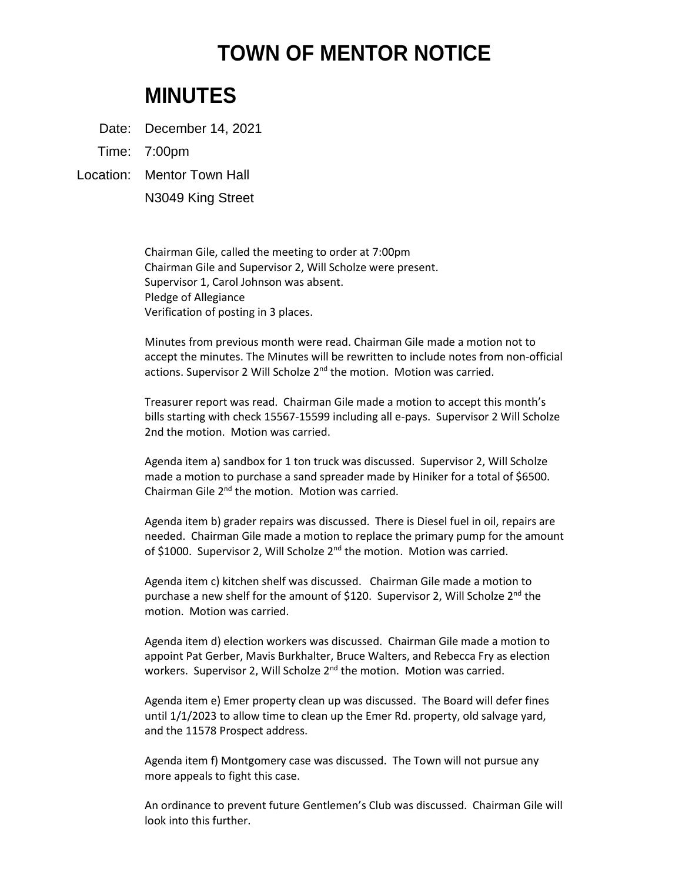## **TOWN OF MENTOR NOTICE**

## **MINUTES**

Date: December 14, 2021

Time: 7:00pm

Location: Mentor Town Hall

N3049 King Street

Chairman Gile, called the meeting to order at 7:00pm Chairman Gile and Supervisor 2, Will Scholze were present. Supervisor 1, Carol Johnson was absent. Pledge of Allegiance Verification of posting in 3 places.

Minutes from previous month were read. Chairman Gile made a motion not to accept the minutes. The Minutes will be rewritten to include notes from non-official actions. Supervisor 2 Will Scholze 2<sup>nd</sup> the motion. Motion was carried.

Treasurer report was read. Chairman Gile made a motion to accept this month's bills starting with check 15567-15599 including all e-pays. Supervisor 2 Will Scholze 2nd the motion. Motion was carried.

Agenda item a) sandbox for 1 ton truck was discussed. Supervisor 2, Will Scholze made a motion to purchase a sand spreader made by Hiniker for a total of \$6500. Chairman Gile 2nd the motion. Motion was carried.

Agenda item b) grader repairs was discussed. There is Diesel fuel in oil, repairs are needed. Chairman Gile made a motion to replace the primary pump for the amount of \$1000. Supervisor 2, Will Scholze 2<sup>nd</sup> the motion. Motion was carried.

Agenda item c) kitchen shelf was discussed. Chairman Gile made a motion to purchase a new shelf for the amount of \$120. Supervisor 2, Will Scholze 2<sup>nd</sup> the motion. Motion was carried.

Agenda item d) election workers was discussed. Chairman Gile made a motion to appoint Pat Gerber, Mavis Burkhalter, Bruce Walters, and Rebecca Fry as election workers. Supervisor 2, Will Scholze 2<sup>nd</sup> the motion. Motion was carried.

Agenda item e) Emer property clean up was discussed. The Board will defer fines until 1/1/2023 to allow time to clean up the Emer Rd. property, old salvage yard, and the 11578 Prospect address.

Agenda item f) Montgomery case was discussed. The Town will not pursue any more appeals to fight this case.

An ordinance to prevent future Gentlemen's Club was discussed. Chairman Gile will look into this further.